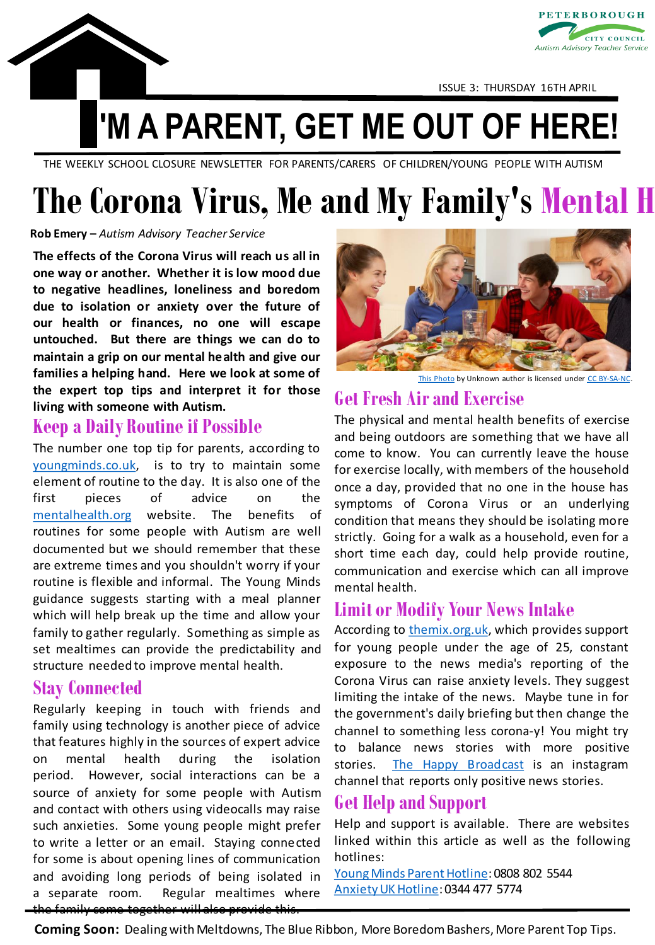



ISSUE 3: THURSDAY 16TH APRIL

## **'M A PARENT, GET ME OUT OF HERE!**

THE WEEKLY SCHOOL CLOSURE NEWSLETTER FOR PARENTS/CARERS OF CHILDREN/YOUNG PEOPLE WITH AUTISM

# **The Corona Virus, Me and My Family's Mental H**

### **Rob Emery –** *Autism Advisory Teacher Service*

**The effects of the Corona Virus will reach us all in one way or another. Whether it is low mood due to negative headlines, loneliness and boredom due to isolation or anxiety over the future of our health or finances, no one will escape untouched. But there are things we can do to maintain a grip on our mental health and give our families a helping hand. Here we look at some of the expert top tips and interpret it for those living with someone with Autism.**

### **Keep a Daily Routine if Possible**

The number one top tip for parents, according to [youngminds.co.uk,](https://youngminds.org.uk/blog/supporting-your-family-s-wellbeing-during-isolation/) is to try to maintain some element of routine to the day. It is also one of the first pieces of advice on the [mentalhealth.org](https://www.mentalhealth.org.uk/publications/looking-after-your-mental-health-during-coronavirus-outbreak) website. The benefits of routines for some people with Autism are well documented but we should remember that these are extreme times and you shouldn't worry if your routine is flexible and informal. The Young Minds guidance suggests starting with a meal planner which will help break up the time and allow your family to gather regularly. Something as simple as set mealtimes can provide the predictability and structure needed to improve mental health.

### **Stay Connected**

Regularly keeping in touch with friends and family using technology is another piece of advice that features highly in the sources of expert advice on mental health during the isolation period. However, social interactions can be a source of anxiety for some people with Autism and contact with others using videocalls may raise such anxieties. Some young people might prefer to write a letter or an email. Staying connected for some is about opening lines of communication and avoiding long periods of being isolated in a separate room. Regular mealtimes where the family come together will also provide this.



[This Photo](https://www.ag.ndsu.edu/publications/food-nutrition/family-meal-times-issue-10-make-ahead-meals-save-dinnertime-tonight) by Unknown author is licensed under [CC BY-SA-NC](https://creativecommons.org/licenses/by-nc-sa/3.0/)

### **Get Fresh Airand Exercise**

The physical and mental health benefits of exercise and being outdoors are something that we have all come to know. You can currently leave the house for exercise locally, with members of the household once a day, provided that no one in the house has symptoms of Corona Virus or an underlying condition that means they should be isolating more strictly. Going for a walk as a household, even for a short time each day, could help provide routine, communication and exercise which can all improve mental health.

### **Limit or Modify Your News Intake**

According to [themix.org.uk,](https://www.themix.org.uk/mental-health/anxiety-ocd-and-phobias/how-to-deal-with-corona-anxiety-35761.html) which provides support for young people under the age of 25, constant exposure to the news media's reporting of the Corona Virus can raise anxiety levels. They suggest limiting the intake of the news. Maybe tune in for the government's daily briefing but then change the channel to something less corona-y! You might try to balance news stories with more positive stories. The Happy [Broadcast](https://www.instagram.com/the_happy_broadcast/) is an instagram channel that reports only positive news stories.

### **Get Help and Support**

Help and support is available. There are websites linked within this article as well as the following hotlines:

Young Minds Parent Hotline: 0808 802 5544 [AnxietyUKHotline:](https://www.anxietyuk.org.uk/) 0344 477 5774

**Coming Soon:** Dealing with Meltdowns, The Blue Ribbon, More Boredom Bashers, More Parent Top Tips.